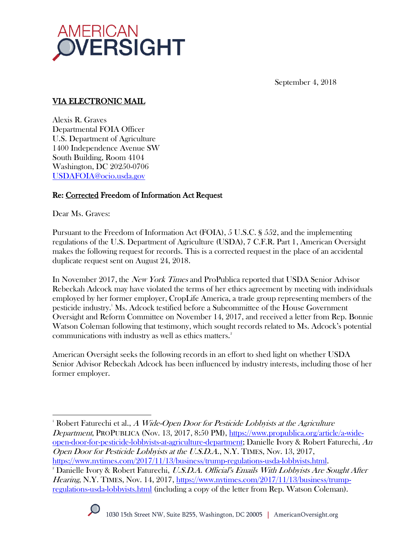

September 4, 2018

## VIA ELECTRONIC MAIL

Alexis R. Graves Departmental FOIA Officer U.S. Department of Agriculture 1400 Independence Avenue SW South Building, Room 4104 Washington, DC 20250-0706 [USDAFOIA@ocio.usda.gov](mailto:USDAFOIA@ocio.usda.gov)

### Re: Corrected Freedom of Information Act Request

Dear Ms. Graves:

Pursuant to the Freedom of Information Act (FOIA), 5 U.S.C. § 552, and the implementing regulations of the U.S. Department of Agriculture (USDA), 7 C.F.R. Part 1, American Oversight makes the following request for records. This is a corrected request in the place of an accidental duplicate request sent on August 24, 2018.

In November 2017, the *New York Times* and ProPublica reported that USDA Senior Advisor Rebeckah Adcock may have violated the terms of her ethics agreement by meeting with individuals employed by her former employer, CropLife America, a trade group representing members of the pesticide industry.<sup>1</sup> Ms. Adcock testified before a Subcommittee of the House Government Oversight and Reform Committee on November 14, 2017, and received a letter from Rep. Bonnie Watson Coleman following that testimony, which sought records related to Ms. Adcock's potential communications with industry as well as ethics matters.<sup>2</sup>

American Oversight seeks the following records in an effort to shed light on whether USDA Senior Advisor Rebeckah Adcock has been influenced by industry interests, including those of her former employer.

<sup>&</sup>lt;sup>2</sup> Danielle Ivory & Robert Faturechi, U.S.D.A. Official's Emails With Lobbyists Are Sought After Hearing, N.Y. TIMES, Nov. 14, 2017, [https://www.nytimes.com/2017/11/13/business/trump](https://www.nytimes.com/2017/11/13/business/trump-regulations-usda-lobbyists.html)[regulations-usda-lobbyists.html](https://www.nytimes.com/2017/11/13/business/trump-regulations-usda-lobbyists.html) (including a copy of the letter from Rep. Watson Coleman).



 $\overline{a}$ <sup>1</sup> Robert Faturechi et al.,  $A$  Wide-Open Door for Pesticide Lobbyists at the Agriculture Department, PROPUBLICA (Nov. 13, 2017, 8:50 PM), [https://www.propublica.org/article/a-wide](https://www.propublica.org/article/a-wide-open-door-for-pesticide-lobbyists-at-agriculture-department)[open-door-for-pesticide-lobbyists-at-agriculture-department;](https://www.propublica.org/article/a-wide-open-door-for-pesticide-lobbyists-at-agriculture-department) Danielle Ivory & Robert Faturechi, An Open Door for Pesticide Lobbyists at the U.S.D.A., N.Y. TIMES, Nov. 13, 2017, [https://www.nytimes.com/2017/11/13/business/trump-regulations-usda-lobbyists.html.](https://www.nytimes.com/2017/11/13/business/trump-regulations-usda-lobbyists.html)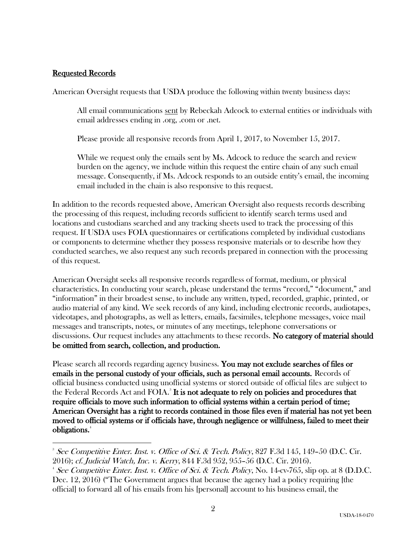#### Requested Records

 $\overline{a}$ 

American Oversight requests that USDA produce the following within twenty business days:

All email communications sent by Rebeckah Adcock to external entities or individuals with email addresses ending in .org, .com or .net.

Please provide all responsive records from April 1, 2017, to November 15, 2017.

While we request only the emails sent by Ms. Adcock to reduce the search and review burden on the agency, we include within this request the entire chain of any such email message. Consequently, if Ms. Adcock responds to an outside entity's email, the incoming email included in the chain is also responsive to this request.

In addition to the records requested above, American Oversight also requests records describing the processing of this request, including records sufficient to identify search terms used and locations and custodians searched and any tracking sheets used to track the processing of this request. If USDA uses FOIA questionnaires or certifications completed by individual custodians or components to determine whether they possess responsive materials or to describe how they conducted searches, we also request any such records prepared in connection with the processing of this request.

American Oversight seeks all responsive records regardless of format, medium, or physical characteristics. In conducting your search, please understand the terms "record," "document," and "information" in their broadest sense, to include any written, typed, recorded, graphic, printed, or audio material of any kind. We seek records of any kind, including electronic records, audiotapes, videotapes, and photographs, as well as letters, emails, facsimiles, telephone messages, voice mail messages and transcripts, notes, or minutes of any meetings, telephone conversations or discussions. Our request includes any attachments to these records. No category of material should be omitted from search, collection, and production.

Please search all records regarding agency business. You may not exclude searches of files or emails in the personal custody of your officials, such as personal email accounts. Records of official business conducted using unofficial systems or stored outside of official files are subject to the Federal Records Act and FOIA.<sup>3</sup> It is not adequate to rely on policies and procedures that require officials to move such information to official systems within a certain period of time; American Oversight has a right to records contained in those files even if material has not yet been moved to official systems or if officials have, through negligence or willfulness, failed to meet their obligations.<sup>4</sup>

<sup>&</sup>lt;sup>3</sup> See Competitive Enter. Inst. v. Office of Sci. & Tech. Policy, 827 F.3d 145, 149-50 (D.C. Cir. 2016); cf. Judicial Watch, Inc. v. Kerry, 844 F.3d 952, 955–56 (D.C. Cir. 2016).

 $4$  See Competitive Enter. Inst. v. Office of Sci. & Tech. Policy, No. 14-cv-765, slip op. at 8 (D.D.C. Dec. 12, 2016) ("The Government argues that because the agency had a policy requiring [the official] to forward all of his emails from his [personal] account to his business email, the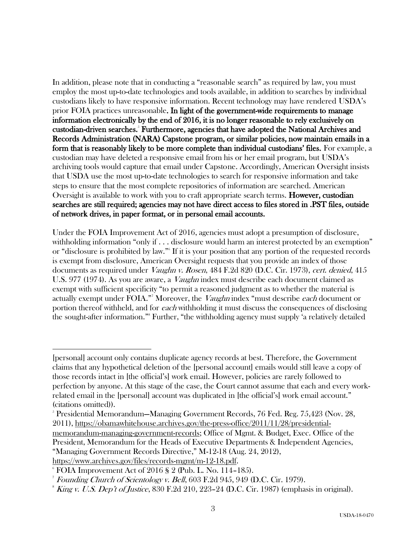In addition, please note that in conducting a "reasonable search" as required by law, you must employ the most up-to-date technologies and tools available, in addition to searches by individual custodians likely to have responsive information. Recent technology may have rendered USDA's prior FOIA practices unreasonable. In light of the government-wide requirements to manage information electronically by the end of 2016, it is no longer reasonable to rely exclusively on custodian-driven searches.<sup>5</sup> Furthermore, agencies that have adopted the National Archives and Records Administration (NARA) Capstone program, or similar policies, now maintain emails in a form that is reasonably likely to be more complete than individual custodians' files. For example, a custodian may have deleted a responsive email from his or her email program, but USDA's archiving tools would capture that email under Capstone. Accordingly, American Oversight insists that USDA use the most up-to-date technologies to search for responsive information and take steps to ensure that the most complete repositories of information are searched. American Oversight is available to work with you to craft appropriate search terms. **However, custodian** searches are still required; agencies may not have direct access to files stored in .PST files, outside of network drives, in paper format, or in personal email accounts.

Under the FOIA Improvement Act of 2016, agencies must adopt a presumption of disclosure, withholding information "only if . . . disclosure would harm an interest protected by an exemption" or "disclosure is prohibited by law."<sup>6</sup> If it is your position that any portion of the requested records is exempt from disclosure, American Oversight requests that you provide an index of those documents as required under *Vaughn v. Rosen*, 484 F.2d 820 (D.C. Cir. 1973), cert. denied, 415 U.S. 977 (1974). As you are aware, a *Vaughn* index must describe each document claimed as exempt with sufficient specificity "to permit a reasoned judgment as to whether the material is actually exempt under FOIA."<sup>7</sup> Moreover, the *Vaughn* index "must describe each document or portion thereof withheld, and for each withholding it must discuss the consequences of disclosing the sought-after information."<sup>8</sup> Further, "the withholding agency must supply 'a relatively detailed

 $\overline{a}$ 

<sup>[</sup>personal] account only contains duplicate agency records at best. Therefore, the Government claims that any hypothetical deletion of the [personal account] emails would still leave a copy of those records intact in [the official's] work email. However, policies are rarely followed to perfection by anyone. At this stage of the case, the Court cannot assume that each and every workrelated email in the [personal] account was duplicated in [the official's] work email account." (citations omitted)).

 $5$  Presidential Memorandum–Managing Government Records, 76 Fed. Reg. 75,423 (Nov. 28, 2011), [https://obamawhitehouse.archives.gov/the-press-office/2011/11/28/presidential](https://obamawhitehouse.archives.gov/the-press-office/2011/11/28/presidential-memorandum-managing-government-records)[memorandum-managing-government-records;](https://obamawhitehouse.archives.gov/the-press-office/2011/11/28/presidential-memorandum-managing-government-records) Office of Mgmt. & Budget, Exec. Office of the President, Memorandum for the Heads of Executive Departments & Independent Agencies, "Managing Government Records Directive," M-12-18 (Aug. 24, 2012), [https://www.archives.gov/files/records-mgmt/m-12-18.pdf.](https://www.archives.gov/files/records-mgmt/m-12-18.pdf)

 $6$  FOIA Improvement Act of 2016 § 2 (Pub. L. No. 114-185).

<sup>&</sup>lt;sup>7</sup> Founding Church of Scientology v. Bell, 603 F.2d 945, 949 (D.C. Cir. 1979).

 $8$  King v. U.S. Dep't of Justice, 830 F.2d 210, 223–24 (D.C. Cir. 1987) (emphasis in original).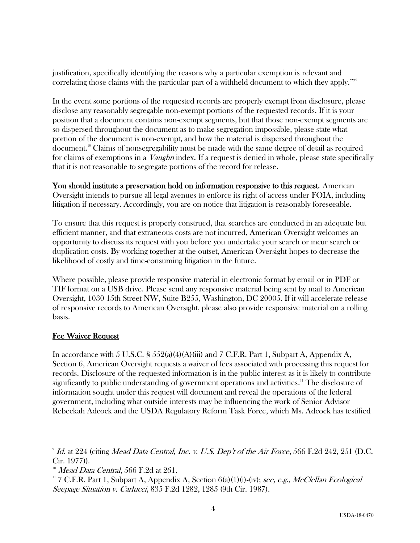justification, specifically identifying the reasons why a particular exemption is relevant and correlating those claims with the particular part of a withheld document to which they apply."<sup>9</sup>

In the event some portions of the requested records are properly exempt from disclosure, please disclose any reasonably segregable non-exempt portions of the requested records. If it is your position that a document contains non-exempt segments, but that those non-exempt segments are so dispersed throughout the document as to make segregation impossible, please state what portion of the document is non-exempt, and how the material is dispersed throughout the document.<sup>10</sup> Claims of nonsegregability must be made with the same degree of detail as required for claims of exemptions in a *Vaughn* index. If a request is denied in whole, please state specifically that it is not reasonable to segregate portions of the record for release.

You should institute a preservation hold on information responsive to this request. American Oversight intends to pursue all legal avenues to enforce its right of access under FOIA, including litigation if necessary. Accordingly, you are on notice that litigation is reasonably foreseeable.

To ensure that this request is properly construed, that searches are conducted in an adequate but efficient manner, and that extraneous costs are not incurred, American Oversight welcomes an opportunity to discuss its request with you before you undertake your search or incur search or duplication costs. By working together at the outset, American Oversight hopes to decrease the likelihood of costly and time-consuming litigation in the future.

Where possible, please provide responsive material in electronic format by email or in PDF or TIF format on a USB drive. Please send any responsive material being sent by mail to American Oversight, 1030 15th Street NW, Suite B255, Washington, DC 20005. If it will accelerate release of responsive records to American Oversight, please also provide responsive material on a rolling basis.

### Fee Waiver Request

 $\overline{a}$ 

In accordance with 5 U.S.C.  $\S$  552(a)(4)(A)(iii) and 7 C.F.R. Part 1, Subpart A, Appendix A, Section 6, American Oversight requests a waiver of fees associated with processing this request for records. Disclosure of the requested information is in the public interest as it is likely to contribute significantly to public understanding of government operations and activities.<sup>11</sup> The disclosure of information sought under this request will document and reveal the operations of the federal government, including what outside interests may be influencing the work of Senior Advisor Rebeckah Adcock and the USDA Regulatory Reform Task Force, which Ms. Adcock has testified

 $\mu$ <sup>9</sup> Id. at 224 (citing Mead Data Central, Inc. v. U.S. Dep't of the Air Force, 566 F.2d 242, 251 (D.C. Cir. 1977)).

 $10^{\circ}$  *Mead Data Central*, 566 F.2d at 261.

<sup>&</sup>lt;sup>11</sup> 7 C.F.R. Part 1, Subpart A, Appendix A, Section  $6(a)(1)(i)$ -(iv); see, e.g., McClellan Ecological Seepage Situation v. Carlucci, 835 F.2d 1282, 1285 (9th Cir. 1987).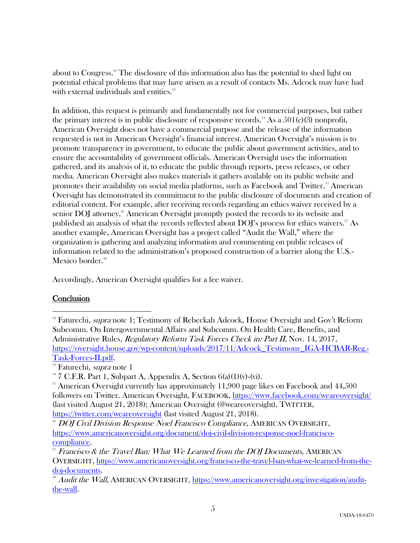about to Congress.<sup>12</sup> The disclosure of this information also has the potential to shed light on potential ethical problems that may have arisen as a result of contacts Ms. Adcock may have had with external individuals and entities.<sup>13</sup>

In addition, this request is primarily and fundamentally not for commercial purposes, but rather the primary interest is in public disclosure of responsive records.<sup>14</sup> As a  $501(c)(3)$  nonprofit, American Oversight does not have a commercial purpose and the release of the information requested is not in American Oversight's financial interest. American Oversight's mission is to promote transparency in government, to educate the public about government activities, and to ensure the accountability of government officials. American Oversight uses the information gathered, and its analysis of it, to educate the public through reports, press releases, or other media. American Oversight also makes materials it gathers available on its public website and promotes their availability on social media platforms, such as Facebook and Twitter.<sup>15</sup> American Oversight has demonstrated its commitment to the public disclosure of documents and creation of editorial content. For example, after receiving records regarding an ethics waiver received by a senior DOJ attorney,<sup>16</sup> American Oversight promptly posted the records to its website and published an analysis of what the records reflected about DOJ's process for ethics waivers.<sup>17</sup> As another example, American Oversight has a project called "Audit the Wall," where the organization is gathering and analyzing information and commenting on public releases of information related to the administration's proposed construction of a barrier along the U.S.- Mexico border.<sup>18</sup>

Accordingly, American Oversight qualifies for a fee waiver.

# **Conclusion**

 $\overline{a}$ 

<sup>&</sup>lt;sup>12</sup> Faturechi, *supra* note 1; Testimony of Rebeckah Adcock, House Oversight and Gov't Reform Subcomm. On Intergovernmental Affairs and Subcomm. On Health Care, Benefits, and Administrative Rules, Regulatory Reform Task Forces Check in: Part II, Nov. 14, 2017, [https://oversight.house.gov/wp-content/uploads/2017/11/Adcock\\_Testimony\\_IGA-HCBAR-Reg.-](https://oversight.house.gov/wp-content/uploads/2017/11/Adcock_Testimony_IGA-HCBAR-Reg.-Task-Forces-II.pdf) [Task-Forces-II.pdf.](https://oversight.house.gov/wp-content/uploads/2017/11/Adcock_Testimony_IGA-HCBAR-Reg.-Task-Forces-II.pdf)

<sup>&</sup>lt;sup>13</sup> Faturechi, *supra* note 1

<sup>&</sup>lt;sup>14</sup> 7 C.F.R. Part 1, Subpart A, Appendix A, Section  $6(a)(1)(v)-(vi)$ .

 $15$  American Oversight currently has approximately 11,900 page likes on Facebook and  $44,500$ followers on Twitter. American Oversight, FACEBOOK,<https://www.facebook.com/weareoversight/> (last visited August 21, 2018); American Oversight (@weareoversight), TWITTER, <https://twitter.com/weareoversight> (last visited August 21, 2018).

<sup>&</sup>lt;sup>16</sup> DOJ Civil Division Response Noel Francisco Compliance, AMERICAN OVERSIGHT, [https://www.americanoversight.org/document/doj-civil-division-response-noel-francisco](https://www.americanoversight.org/document/doj-civil-division-response-noel-francisco-compliance)[compliance](https://www.americanoversight.org/document/doj-civil-division-response-noel-francisco-compliance).

 $17$  Francisco & the Travel Ban: What We Learned from the DOJ Documents, AMERICAN OVERSIGHT, [https://www.americanoversight.org/francisco-the-travel-ban-what-we-learned-from-the](https://www.americanoversight.org/francisco-the-travel-ban-what-we-learned-from-the-doj-documents)[doj-documents.](https://www.americanoversight.org/francisco-the-travel-ban-what-we-learned-from-the-doj-documents)

 $18$  Audit the Wall, AMERICAN OVERSIGHT, [https://www.americanoversight.org/investigation/audit](https://www.americanoversight.org/investigation/audit-the-wall)[the-wall.](https://www.americanoversight.org/investigation/audit-the-wall)